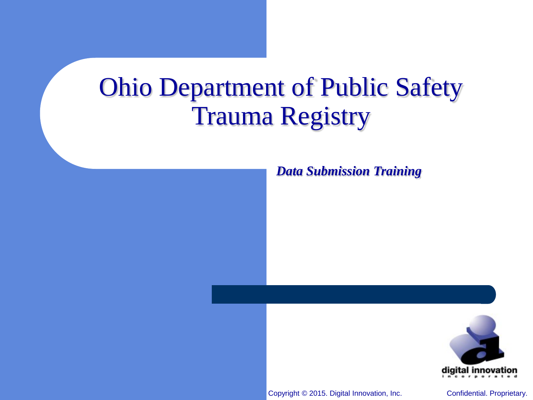#### Ohio Department of Public Safety Trauma Registry

*Data Submission Training*

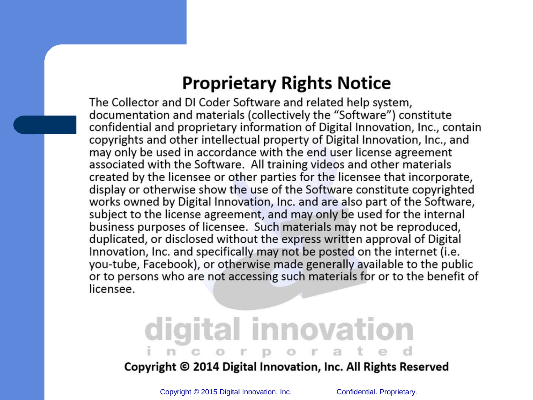#### **Proprietary Rights Notice**

The Collector and DI Coder Software and related help system, documentation and materials (collectively the "Software") constitute confidential and proprietary information of Digital Innovation, Inc., contain copyrights and other intellectual property of Digital Innovation, Inc., and may only be used in accordance with the end user license agreement associated with the Software. All training videos and other materials created by the licensee or other parties for the licensee that incorporate, display or otherwise show the use of the Software constitute copyrighted works owned by Digital Innovation, Inc. and are also part of the Software, subject to the license agreement, and may only be used for the internal business purposes of licensee. Such materials may not be reproduced, duplicated, or disclosed without the express written approval of Digital Innovation, Inc. and specifically may not be posted on the internet (i.e. you-tube, Facebook), or otherwise made generally available to the public or to persons who are not accessing such materials for or to the benefit of licensee.

# digital innovation

#### Copyright © 2014 Digital Innovation, Inc. All Rights Reserved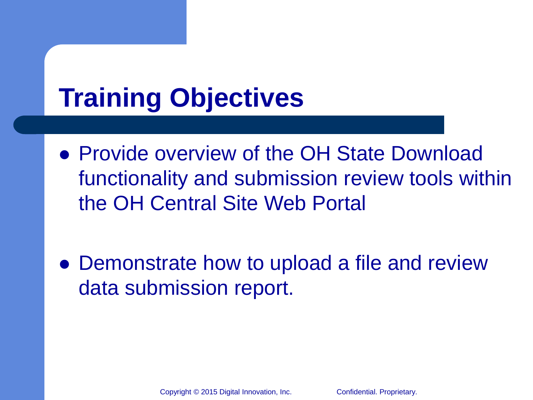# **Training Objectives**

- Provide overview of the OH State Download functionality and submission review tools within the OH Central Site Web Portal
- Demonstrate how to upload a file and review data submission report.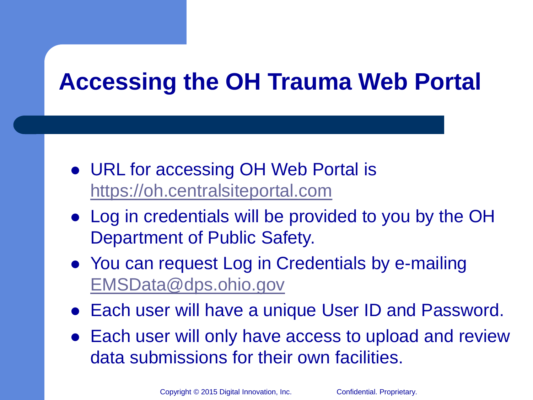#### **Accessing the OH Trauma Web Portal**

- URL for accessing OH Web Portal is [https://oh.centralsiteportal.com](https://oh.centralsiteportal.com/)
- Log in credentials will be provided to you by the OH Department of Public Safety.
- You can request Log in Credentials by e-mailing [EMSData@dps.ohio.gov](mailto:EMSData@dps.ohio.gov)
- Each user will have a unique User ID and Password.
- Each user will only have access to upload and review data submissions for their own facilities.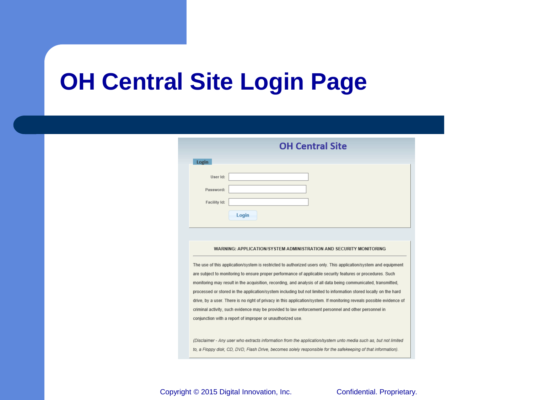#### **OH Central Site Login Page**

|              | <b>OH Central Site</b> |  |
|--------------|------------------------|--|
| Login        |                        |  |
| User Id:     |                        |  |
| Password:    |                        |  |
| Facility Id: |                        |  |
|              | Login                  |  |

#### WARNING: APPLICATION/SYSTEM ADMINISTRATION AND SECURITY MONITORING

The use of this application/system is restricted to authorized users only. This application/system and equipment are subject to monitoring to ensure proper performance of applicable security features or procedures. Such monitoring may result in the acquisition, recording, and analysis of all data being communicated, transmitted, processed or stored in the application/system including but not limited to information stored locally on the hard drive, by a user. There is no right of privacy in this application/system. If monitoring reveals possible evidence of criminal activity, such evidence may be provided to law enforcement personnel and other personnel in conjunction with a report of improper or unauthorized use.

(Disclaimer - Any user who extracts information from the application/system unto media such as, but not limited to, a Floppy disk, CD, DVD, Flash Drive, becomes solely responsible for the safekeeping of that information).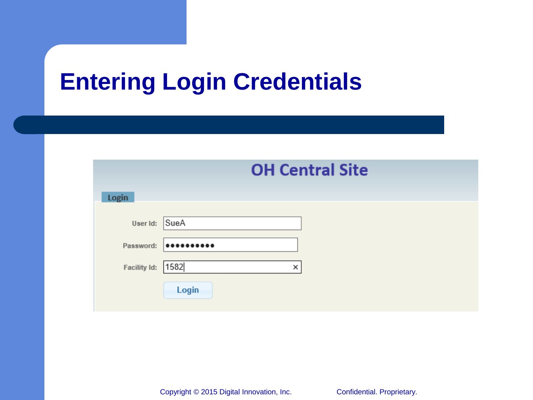#### **Entering Login Credentials**

|                     | <b>OH Central Site</b> |
|---------------------|------------------------|
| Login               |                        |
| User Id:            | SueA                   |
| Password:           |                        |
| <b>Facility Id:</b> | 1582<br>×              |
|                     | Login                  |
|                     |                        |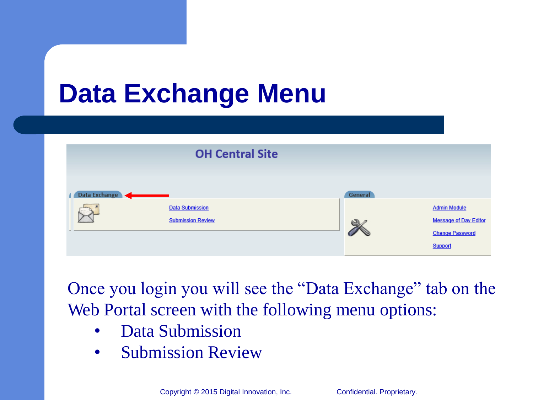### **Data Exchange Menu**

|               | <b>OH Central Site</b>                             |         |                                                                                          |
|---------------|----------------------------------------------------|---------|------------------------------------------------------------------------------------------|
| Data Exchange | <b>Data Submission</b><br><b>Submission Review</b> | General | <b>Admin Module</b><br><b>Message of Day Editor</b><br><b>Change Password</b><br>Support |

Once you login you will see the "Data Exchange" tab on the Web Portal screen with the following menu options:

- Data Submission
- Submission Review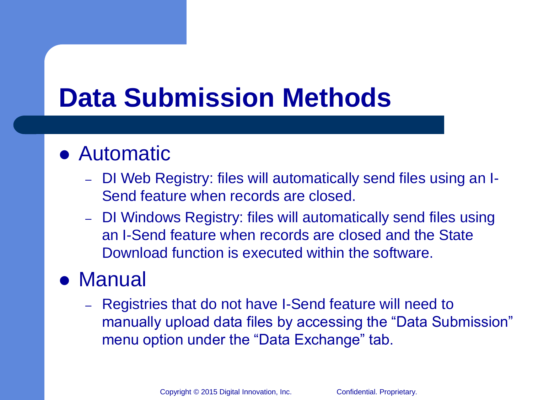### **Data Submission Methods**

#### Automatic

- DI Web Registry: files will automatically send files using an I-Send feature when records are closed.
- DI Windows Registry: files will automatically send files using an I-Send feature when records are closed and the State Download function is executed within the software.

#### Manual

– Registries that do not have I-Send feature will need to manually upload data files by accessing the "Data Submission" menu option under the "Data Exchange" tab.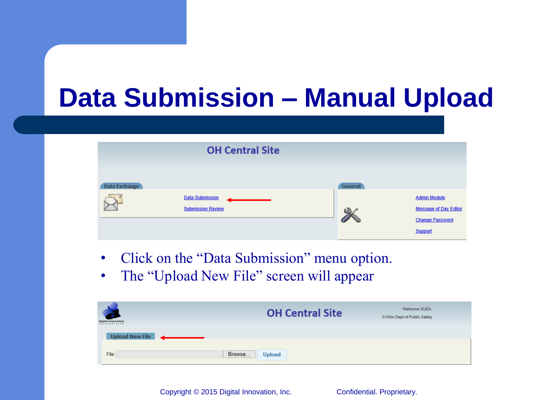### **Data Submission – Manual Upload**

|               | <b>OH Central Site</b>                             |         |                                                                                                 |
|---------------|----------------------------------------------------|---------|-------------------------------------------------------------------------------------------------|
| Data Exchange |                                                    | General |                                                                                                 |
|               | <b>Data Submission</b><br><b>Submission Review</b> |         | <b>Admin Module</b><br><b>Message of Day Editor</b><br><b>Change Password</b><br><b>Support</b> |

- Click on the "Data Submission" menu option.
- The "Upload New File" screen will appear

| ъ.<br>digital innovation<br>incorporated | <b>OH Central Site</b>  | Welcome SUEA.<br>0:Ohio Dept of Public Safety |
|------------------------------------------|-------------------------|-----------------------------------------------|
| Upload New File                          |                         |                                               |
| File                                     | Browse<br><b>Upload</b> |                                               |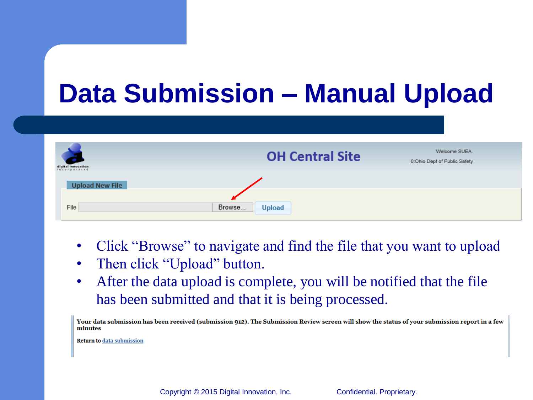### **Data Submission – Manual Upload**

| digital innovation<br>incorporated | <b>OH Central Site</b>  | Welcome SUEA.<br>0:Ohio Dept of Public Safety |
|------------------------------------|-------------------------|-----------------------------------------------|
| <b>Upload New File</b>             |                         |                                               |
| File                               | Browse<br><b>Upload</b> |                                               |

- Click "Browse" to navigate and find the file that you want to upload
- Then click "Upload" button.
- After the data upload is complete, you will be notified that the file has been submitted and that it is being processed.

Your data submission has been received (submission 912). The Submission Review screen will show the status of your submission report in a few minutes

**Return to data submission**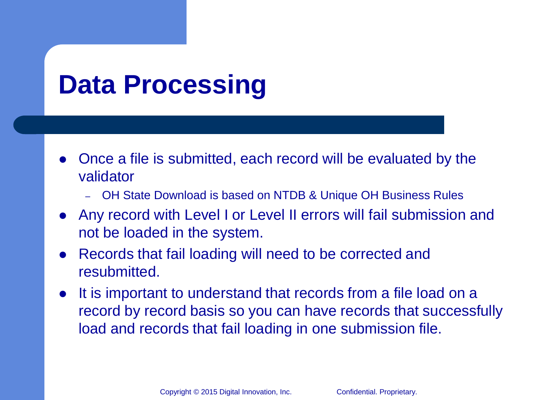### **Data Processing**

- Once a file is submitted, each record will be evaluated by the validator
	- OH State Download is based on NTDB & Unique OH Business Rules
- Any record with Level I or Level II errors will fail submission and not be loaded in the system.
- Records that fail loading will need to be corrected and resubmitted.
- It is important to understand that records from a file load on a record by record basis so you can have records that successfully load and records that fail loading in one submission file.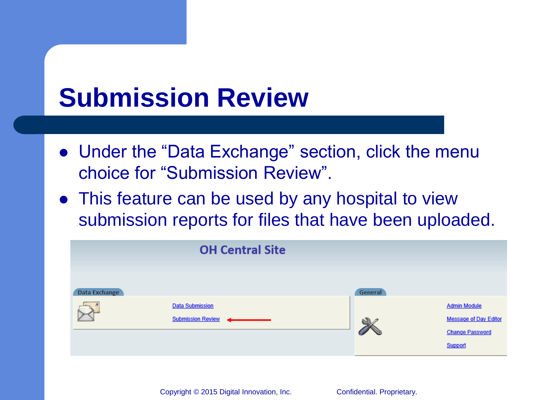### **Submission Review**

- Under the "Data Exchange" section, click the menu choice for "Submission Review".
- This feature can be used by any hospital to view submission reports for files that have been uploaded.

|               | <b>OH Central Site</b>                             |         |                                                                                          |
|---------------|----------------------------------------------------|---------|------------------------------------------------------------------------------------------|
| Data Exchange |                                                    | General |                                                                                          |
|               | <b>Data Submission</b><br><b>Submission Review</b> |         | <b>Admin Module</b><br><b>Message of Day Editor</b><br><b>Change Password</b><br>Support |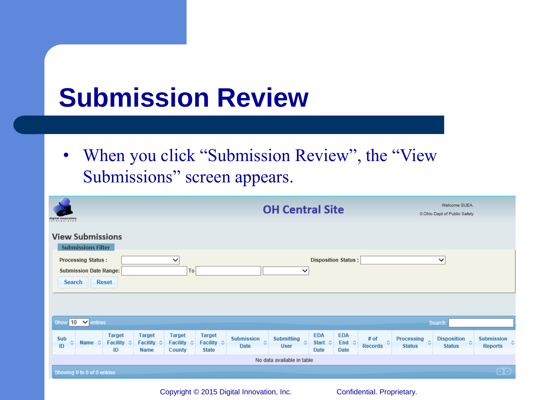### **Submission Review**

• When you click "Submission Review", the "View" Submissions" screen appears.

| digital innovation<br>incorporated                                                                                                                                                                                                                                                                              | <b>OH Central Site</b>                                                                                                                                   | Welcome SUEA.<br>0:Ohio Dept of Public Safety                                                                                                                         |
|-----------------------------------------------------------------------------------------------------------------------------------------------------------------------------------------------------------------------------------------------------------------------------------------------------------------|----------------------------------------------------------------------------------------------------------------------------------------------------------|-----------------------------------------------------------------------------------------------------------------------------------------------------------------------|
| <b>View Submissions</b><br><b>Submissions Filter</b>                                                                                                                                                                                                                                                            |                                                                                                                                                          |                                                                                                                                                                       |
| <b>Processing Status:</b><br>$\checkmark$                                                                                                                                                                                                                                                                       | <b>Disposition Status:</b>                                                                                                                               | $\checkmark$                                                                                                                                                          |
| <b>Submission Date Range:</b><br>To<br><b>Search</b><br><b>Reset</b>                                                                                                                                                                                                                                            | $\checkmark$                                                                                                                                             |                                                                                                                                                                       |
|                                                                                                                                                                                                                                                                                                                 |                                                                                                                                                          |                                                                                                                                                                       |
| Show 10 V entries                                                                                                                                                                                                                                                                                               |                                                                                                                                                          | Search:                                                                                                                                                               |
| <b>Target</b><br><b>Target</b><br><b>Target</b><br><b>Target</b><br><b>Submission</b><br>Sub<br>≎<br>Name $\diamond$<br><b>Facility</b><br>Facility $\diamond$<br><b>Facility <math>\diamond</math></b><br><b>Facility</b><br>۵<br>÷<br>ID<br><b>Date</b><br>ID<br><b>Name</b><br><b>State</b><br><b>County</b> | <b>EDA</b><br><b>EDA</b><br><b>Submitting</b><br>$\ddot{\circ}$<br>ó.<br>Start $\diamond$<br>End $\diamond$<br><b>User</b><br><b>Date</b><br><b>Date</b> | # of<br>Disposition $\Leftrightarrow$<br><b>Processing</b><br><b>Submission</b><br>ó<br>÷.<br>÷<br><b>Records</b><br><b>Status</b><br><b>Status</b><br><b>Reports</b> |
|                                                                                                                                                                                                                                                                                                                 | No data available in table                                                                                                                               |                                                                                                                                                                       |
| Showing 0 to 0 of 0 entries                                                                                                                                                                                                                                                                                     |                                                                                                                                                          | $\circ$                                                                                                                                                               |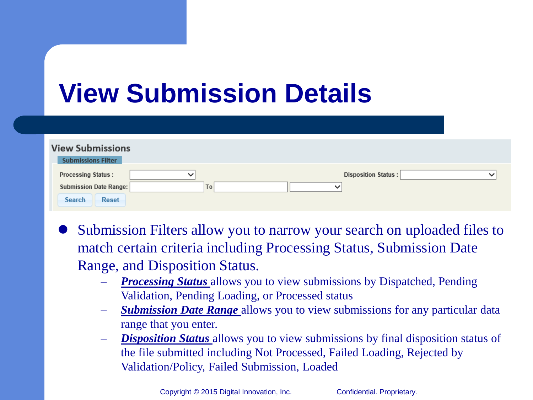### **View Submission Details**

| <b>View Submissions</b>   |              |    |                            |              |
|---------------------------|--------------|----|----------------------------|--------------|
| <b>Submissions Filter</b> |              |    |                            |              |
| <b>Processing Status:</b> | $\checkmark$ |    | <b>Disposition Status:</b> | $\checkmark$ |
| Submission Date Range:    |              | To |                            |              |
| <b>Search</b><br>Reset    |              |    |                            |              |

- Submission Filters allow you to narrow your search on uploaded files to match certain criteria including Processing Status, Submission Date Range, and Disposition Status.
	- *Processing Status* allows you to view submissions by Dispatched, Pending Validation, Pending Loading, or Processed status
	- *Submission Date Range* allows you to view submissions for any particular data range that you enter.
	- *Disposition Status* allows you to view submissions by final disposition status of the file submitted including Not Processed, Failed Loading, Rejected by Validation/Policy, Failed Submission, Loaded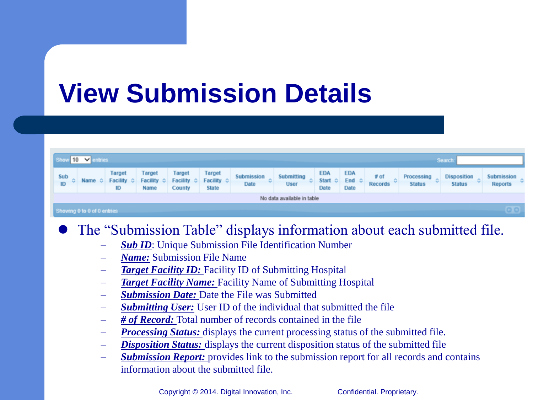### **View Submission Details**

| Show 10 V entries |                             |  |                            |                              |                              |                               |                    |                            |                             |                           |                          |                             | Search:                             |                              |
|-------------------|-----------------------------|--|----------------------------|------------------------------|------------------------------|-------------------------------|--------------------|----------------------------|-----------------------------|---------------------------|--------------------------|-----------------------------|-------------------------------------|------------------------------|
| Sub<br>ID         | Name                        |  | Target<br>Facility 0<br>ID | Target<br>Facility 0<br>Name | Target<br>Facility<br>County | Target<br>Facility 0<br>State | Submission<br>Date | Submitting<br><b>User</b>  | EDA<br><b>Start</b><br>Date | <b>EDA</b><br>End<br>Date | $#$ of<br><b>Records</b> | Processing<br><b>Status</b> | <b>Disposition</b><br><b>Status</b> | Submission<br><b>Reports</b> |
|                   |                             |  |                            |                              |                              |                               |                    | No data available in table |                             |                           |                          |                             |                                     |                              |
|                   | Showing 0 to 0 of 0 entries |  |                            |                              |                              |                               |                    |                            |                             |                           |                          |                             |                                     |                              |

#### The "Submission Table" displays information about each submitted file.

- *Sub ID*: Unique Submission File Identification Number
- *Name:* Submission File Name
- *Target Facility ID:* Facility ID of Submitting Hospital
- *Target Facility Name:* Facility Name of Submitting Hospital
- *Submission Date:* Date the File was Submitted
- *Submitting User:* User ID of the individual that submitted the file
- *# of Record:* Total number of records contained in the file
- *Processing Status:* displays the current processing status of the submitted file.
- **Disposition Status:** displays the current disposition status of the submitted file
- **Submission Report:** provides link to the submission report for all records and contains information about the submitted file.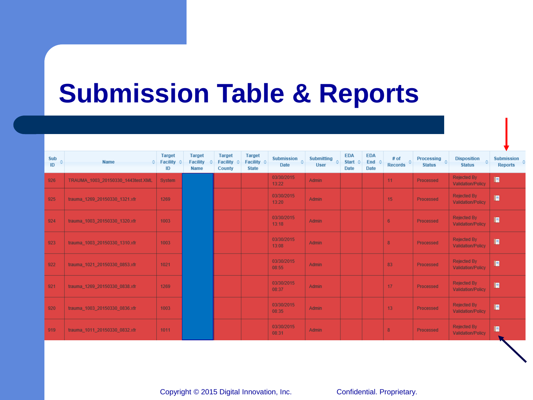## **Submission Table & Reports**

| Sub<br>ID | <b>Name</b><br>$\hat{z}$          | <b>Target</b><br>Facility $\diamond$<br>ID | <b>Target</b><br><b>Facility</b><br><b>Name</b> | <b>Target</b><br>Facility $\diamond$<br><b>County</b> | <b>Target</b><br>Facility $\diamond$<br><b>State</b> | <b>Submission</b><br>쇠<br><b>Date</b> | Submitting $\Diamond$<br><b>User</b> | <b>EDA</b><br>Start $\Leftrightarrow$<br><b>Date</b> | <b>EDA</b><br>End $\diamond$<br>Date | # of<br><b>Records</b> | Processing $\Leftrightarrow$<br><b>Status</b> | <b>Disposition</b><br><b>A</b><br><b>Status</b> | <b>Submission</b> $\Leftrightarrow$<br><b>Reports</b> |
|-----------|-----------------------------------|--------------------------------------------|-------------------------------------------------|-------------------------------------------------------|------------------------------------------------------|---------------------------------------|--------------------------------------|------------------------------------------------------|--------------------------------------|------------------------|-----------------------------------------------|-------------------------------------------------|-------------------------------------------------------|
| 926       | TRAUMA 1003 20150330 1443test.XML | System                                     |                                                 |                                                       |                                                      | 03/30/2015<br>13:22                   | Admin                                |                                                      |                                      | 11                     | Processed                                     | <b>Rejected By</b><br><b>Validation/Policy</b>  | 旧                                                     |
| 925       | trauma_1269_20150330_1321.xfr     | 1269                                       |                                                 |                                                       |                                                      | 03/30/2015<br>13:20                   | Admin                                |                                                      |                                      | 15                     | Processed                                     | Rejected By<br><b>Validation/Policy</b>         | E                                                     |
| 924       | trauma_1003_20150330_1320.xfr     | 1003                                       |                                                 |                                                       |                                                      | 03/30/2015<br>13:18                   | Admin                                |                                                      |                                      | 6                      | Processed                                     | <b>Rejected By</b><br><b>Validation/Policy</b>  | E                                                     |
| 923       | trauma_1003_20150330_1310.xfr     | 1003                                       |                                                 |                                                       |                                                      | 03/30/2015<br>13:08                   | <b>Admin</b>                         |                                                      |                                      | 8 <sup>°</sup>         | Processed                                     | <b>Rejected By</b><br><b>Validation/Policy</b>  | E                                                     |
| 922       | trauma_1021_20150330_0853.xfr     | 1021                                       |                                                 |                                                       |                                                      | 03/30/2015<br>08:55                   | Admin                                |                                                      |                                      | 83                     | <b>Processed</b>                              | <b>Rejected By</b><br><b>Validation/Policy</b>  | I                                                     |
| 921       | trauma_1269_20150330_0838.xfr     | 1269                                       |                                                 |                                                       |                                                      | 03/30/2015<br>08:37                   | Admin                                |                                                      |                                      | 17                     | Processed                                     | Rejected By<br><b>Validation/Policy</b>         | 旧                                                     |
| 920       | trauma 1003_20150330_0836.xfr     | 1003                                       |                                                 |                                                       |                                                      | 03/30/2015<br>08:35                   | Admin                                |                                                      |                                      | 13                     | Processed                                     | <b>Rejected By</b><br><b>Validation/Policy</b>  | E                                                     |
| 919       | trauma_1011_20150330_0832.xfr     | 1011                                       |                                                 |                                                       |                                                      | 03/30/2015<br>08:31                   | Admin                                |                                                      |                                      | 8                      | Processed                                     | <b>Rejected By</b><br><b>Validation/Policy</b>  | 膻                                                     |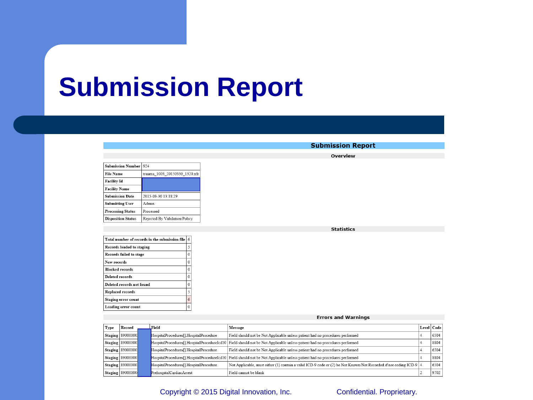### **Submission Report**

#### **Submission Report** Overview

| <b>Submission Number</b>  | 924                           |
|---------------------------|-------------------------------|
| <b>File Name</b>          | trauma 1003 20150330 1320.xfr |
| <b>Facility Id</b>        |                               |
| <b>Facility Name</b>      |                               |
| <b>Submission Date</b>    | 2015-03-30 13:18:29           |
| <b>Submitting User</b>    | Admin                         |
| <b>Processing Status</b>  | Processed                     |
| <b>Disposition Status</b> | Rejected By Validation/Policy |

| Total number of records in the submission file |  |  |  |  |
|------------------------------------------------|--|--|--|--|
| Records loaded to staging                      |  |  |  |  |
| Records failed to stage                        |  |  |  |  |
| New records                                    |  |  |  |  |
| <b>Blocked records</b>                         |  |  |  |  |
| Deleted records                                |  |  |  |  |
| Deleted records not found                      |  |  |  |  |
| Replaced records                               |  |  |  |  |
| Staging error count                            |  |  |  |  |
| Loading error count                            |  |  |  |  |

#### **Statistics**

#### **Errors and Warnings**

| Type | Record             | Field                                  | Message                                                                                                                               | Level   Code |
|------|--------------------|----------------------------------------|---------------------------------------------------------------------------------------------------------------------------------------|--------------|
|      | Staging 89000000   | HospitalProcedures[].HospitalProcedure | Field should not be Not Applicable unless patient had no procedures performed                                                         | 6504         |
|      | Staging   89000000 |                                        | HospitalProcedures <sup>[]</sup> HospitalProcedureIcd10 Field should not be Not Applicable unless patient had no procedures performed | 8804         |
|      | Staging 89000000   | HospitalProcedures[].HospitalProcedure | Field should not be Not Applicable unless patient had no procedures performed                                                         | 6504         |
|      | Staging 89000000   |                                        | HospitalProcedures[].HospitalProcedureIcd10 Field should not be Not Applicable unless patient had no procedures performed             | 8804         |
|      | Staging 89000000   | HospitalProcedures[].HospitalProcedure | Not Applicable, must either (1) contain a valid ICD-9 code or (2) be Not Known/Not Recorded if not coding ICD-9   4                   | 6504         |
|      | Staging   89000000 | PrehospitalCardiacArrest               | Field cannot be blank                                                                                                                 | 9702         |